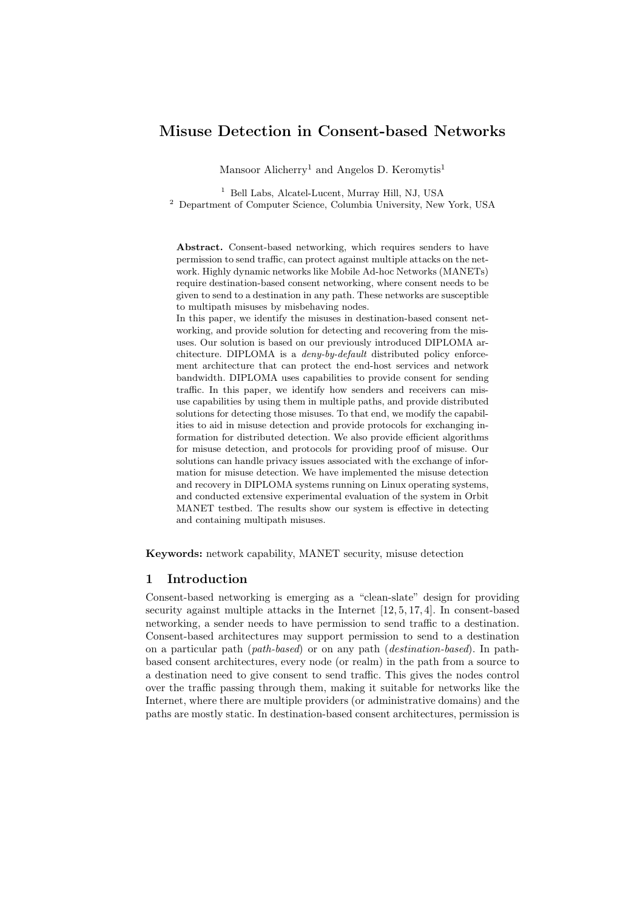# Misuse Detection in Consent-based Networks

Mansoor Alicherry<sup>1</sup> and Angelos D. Keromytis<sup>1</sup>

<sup>1</sup> Bell Labs, Alcatel-Lucent, Murray Hill, NJ, USA <sup>2</sup> Department of Computer Science, Columbia University, New York, USA

Abstract. Consent-based networking, which requires senders to have permission to send traffic, can protect against multiple attacks on the network. Highly dynamic networks like Mobile Ad-hoc Networks (MANETs) require destination-based consent networking, where consent needs to be given to send to a destination in any path. These networks are susceptible to multipath misuses by misbehaving nodes.

In this paper, we identify the misuses in destination-based consent networking, and provide solution for detecting and recovering from the misuses. Our solution is based on our previously introduced DIPLOMA architecture. DIPLOMA is a *deny-by-default* distributed policy enforcement architecture that can protect the end-host services and network bandwidth. DIPLOMA uses capabilities to provide consent for sending traffic. In this paper, we identify how senders and receivers can misuse capabilities by using them in multiple paths, and provide distributed solutions for detecting those misuses. To that end, we modify the capabilities to aid in misuse detection and provide protocols for exchanging information for distributed detection. We also provide efficient algorithms for misuse detection, and protocols for providing proof of misuse. Our solutions can handle privacy issues associated with the exchange of information for misuse detection. We have implemented the misuse detection and recovery in DIPLOMA systems running on Linux operating systems, and conducted extensive experimental evaluation of the system in Orbit MANET testbed. The results show our system is effective in detecting and containing multipath misuses.

Keywords: network capability, MANET security, misuse detection

# 1 Introduction

Consent-based networking is emerging as a "clean-slate" design for providing security against multiple attacks in the Internet [12, 5, 17, 4]. In consent-based networking, a sender needs to have permission to send traffic to a destination. Consent-based architectures may support permission to send to a destination on a particular path (path-based) or on any path (destination-based). In pathbased consent architectures, every node (or realm) in the path from a source to a destination need to give consent to send traffic. This gives the nodes control over the traffic passing through them, making it suitable for networks like the Internet, where there are multiple providers (or administrative domains) and the paths are mostly static. In destination-based consent architectures, permission is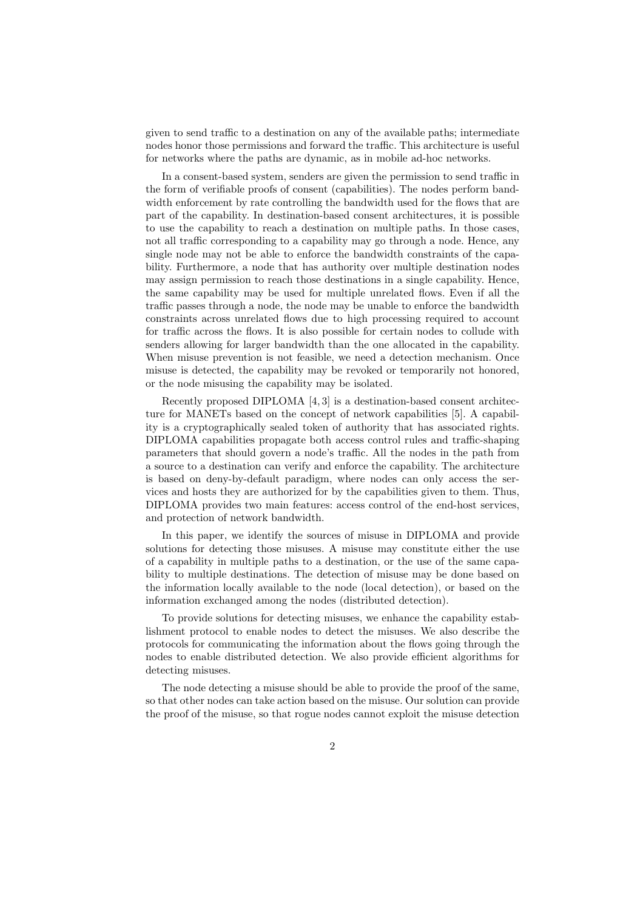given to send traffic to a destination on any of the available paths; intermediate nodes honor those permissions and forward the traffic. This architecture is useful for networks where the paths are dynamic, as in mobile ad-hoc networks.

In a consent-based system, senders are given the permission to send traffic in the form of verifiable proofs of consent (capabilities). The nodes perform bandwidth enforcement by rate controlling the bandwidth used for the flows that are part of the capability. In destination-based consent architectures, it is possible to use the capability to reach a destination on multiple paths. In those cases, not all traffic corresponding to a capability may go through a node. Hence, any single node may not be able to enforce the bandwidth constraints of the capability. Furthermore, a node that has authority over multiple destination nodes may assign permission to reach those destinations in a single capability. Hence, the same capability may be used for multiple unrelated flows. Even if all the traffic passes through a node, the node may be unable to enforce the bandwidth constraints across unrelated flows due to high processing required to account for traffic across the flows. It is also possible for certain nodes to collude with senders allowing for larger bandwidth than the one allocated in the capability. When misuse prevention is not feasible, we need a detection mechanism. Once misuse is detected, the capability may be revoked or temporarily not honored, or the node misusing the capability may be isolated.

Recently proposed DIPLOMA [4, 3] is a destination-based consent architecture for MANETs based on the concept of network capabilities [5]. A capability is a cryptographically sealed token of authority that has associated rights. DIPLOMA capabilities propagate both access control rules and traffic-shaping parameters that should govern a node's traffic. All the nodes in the path from a source to a destination can verify and enforce the capability. The architecture is based on deny-by-default paradigm, where nodes can only access the services and hosts they are authorized for by the capabilities given to them. Thus, DIPLOMA provides two main features: access control of the end-host services, and protection of network bandwidth.

In this paper, we identify the sources of misuse in DIPLOMA and provide solutions for detecting those misuses. A misuse may constitute either the use of a capability in multiple paths to a destination, or the use of the same capability to multiple destinations. The detection of misuse may be done based on the information locally available to the node (local detection), or based on the information exchanged among the nodes (distributed detection).

To provide solutions for detecting misuses, we enhance the capability establishment protocol to enable nodes to detect the misuses. We also describe the protocols for communicating the information about the flows going through the nodes to enable distributed detection. We also provide efficient algorithms for detecting misuses.

The node detecting a misuse should be able to provide the proof of the same, so that other nodes can take action based on the misuse. Our solution can provide the proof of the misuse, so that rogue nodes cannot exploit the misuse detection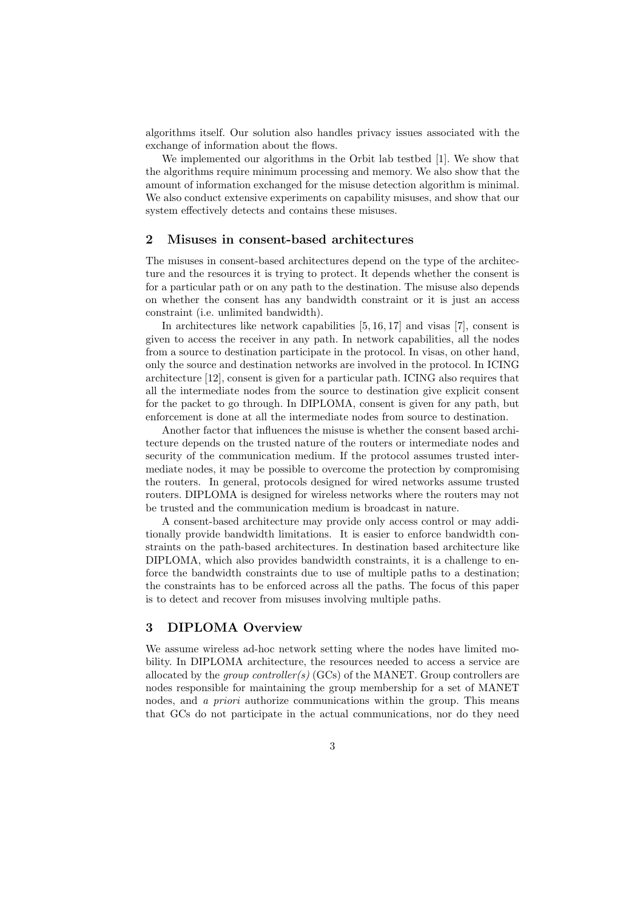algorithms itself. Our solution also handles privacy issues associated with the exchange of information about the flows.

We implemented our algorithms in the Orbit lab testbed [1]. We show that the algorithms require minimum processing and memory. We also show that the amount of information exchanged for the misuse detection algorithm is minimal. We also conduct extensive experiments on capability misuses, and show that our system effectively detects and contains these misuses.

## 2 Misuses in consent-based architectures

The misuses in consent-based architectures depend on the type of the architecture and the resources it is trying to protect. It depends whether the consent is for a particular path or on any path to the destination. The misuse also depends on whether the consent has any bandwidth constraint or it is just an access constraint (i.e. unlimited bandwidth).

In architectures like network capabilities [5, 16, 17] and visas [7], consent is given to access the receiver in any path. In network capabilities, all the nodes from a source to destination participate in the protocol. In visas, on other hand, only the source and destination networks are involved in the protocol. In ICING architecture [12], consent is given for a particular path. ICING also requires that all the intermediate nodes from the source to destination give explicit consent for the packet to go through. In DIPLOMA, consent is given for any path, but enforcement is done at all the intermediate nodes from source to destination.

Another factor that influences the misuse is whether the consent based architecture depends on the trusted nature of the routers or intermediate nodes and security of the communication medium. If the protocol assumes trusted intermediate nodes, it may be possible to overcome the protection by compromising the routers. In general, protocols designed for wired networks assume trusted routers. DIPLOMA is designed for wireless networks where the routers may not be trusted and the communication medium is broadcast in nature.

A consent-based architecture may provide only access control or may additionally provide bandwidth limitations. It is easier to enforce bandwidth constraints on the path-based architectures. In destination based architecture like DIPLOMA, which also provides bandwidth constraints, it is a challenge to enforce the bandwidth constraints due to use of multiple paths to a destination; the constraints has to be enforced across all the paths. The focus of this paper is to detect and recover from misuses involving multiple paths.

## 3 DIPLOMA Overview

We assume wireless ad-hoc network setting where the nodes have limited mobility. In DIPLOMA architecture, the resources needed to access a service are allocated by the group controller(s) (GCs) of the MANET. Group controllers are nodes responsible for maintaining the group membership for a set of MANET nodes, and a priori authorize communications within the group. This means that GCs do not participate in the actual communications, nor do they need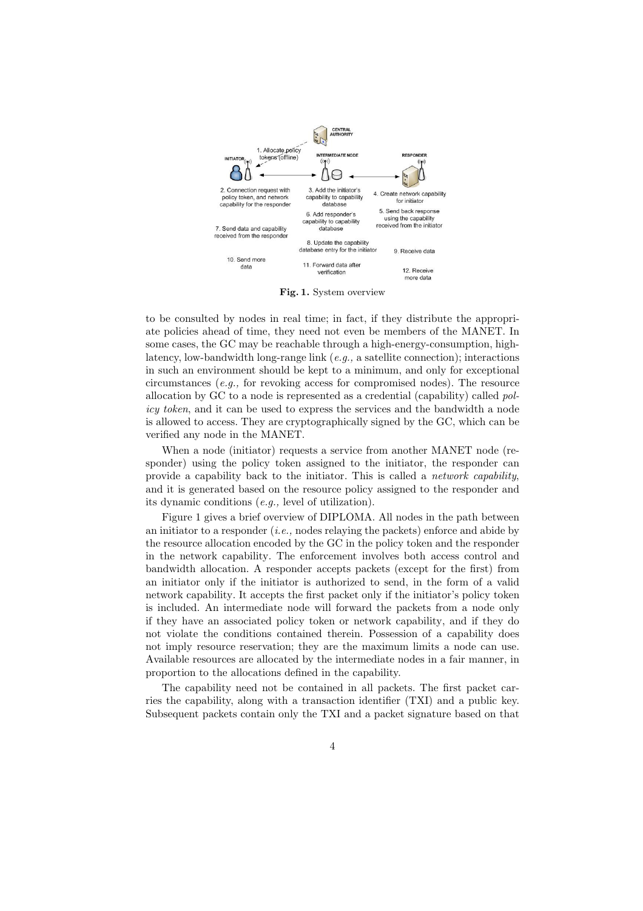

Fig. 1. System overview

to be consulted by nodes in real time; in fact, if they distribute the appropriate policies ahead of time, they need not even be members of the MANET. In some cases, the GC may be reachable through a high-energy-consumption, highlatency, low-bandwidth long-range link  $(e.g.,$  a satellite connection); interactions in such an environment should be kept to a minimum, and only for exceptional circumstances (e.g., for revoking access for compromised nodes). The resource allocation by GC to a node is represented as a credential (capability) called policy token, and it can be used to express the services and the bandwidth a node is allowed to access. They are cryptographically signed by the GC, which can be verified any node in the MANET.

When a node (initiator) requests a service from another MANET node (responder) using the policy token assigned to the initiator, the responder can provide a capability back to the initiator. This is called a network capability, and it is generated based on the resource policy assigned to the responder and its dynamic conditions (e.g., level of utilization).

Figure 1 gives a brief overview of DIPLOMA. All nodes in the path between an initiator to a responder  $(i.e.,$  nodes relaying the packets) enforce and abide by the resource allocation encoded by the GC in the policy token and the responder in the network capability. The enforcement involves both access control and bandwidth allocation. A responder accepts packets (except for the first) from an initiator only if the initiator is authorized to send, in the form of a valid network capability. It accepts the first packet only if the initiator's policy token is included. An intermediate node will forward the packets from a node only if they have an associated policy token or network capability, and if they do not violate the conditions contained therein. Possession of a capability does not imply resource reservation; they are the maximum limits a node can use. Available resources are allocated by the intermediate nodes in a fair manner, in proportion to the allocations defined in the capability.

The capability need not be contained in all packets. The first packet carries the capability, along with a transaction identifier (TXI) and a public key. Subsequent packets contain only the TXI and a packet signature based on that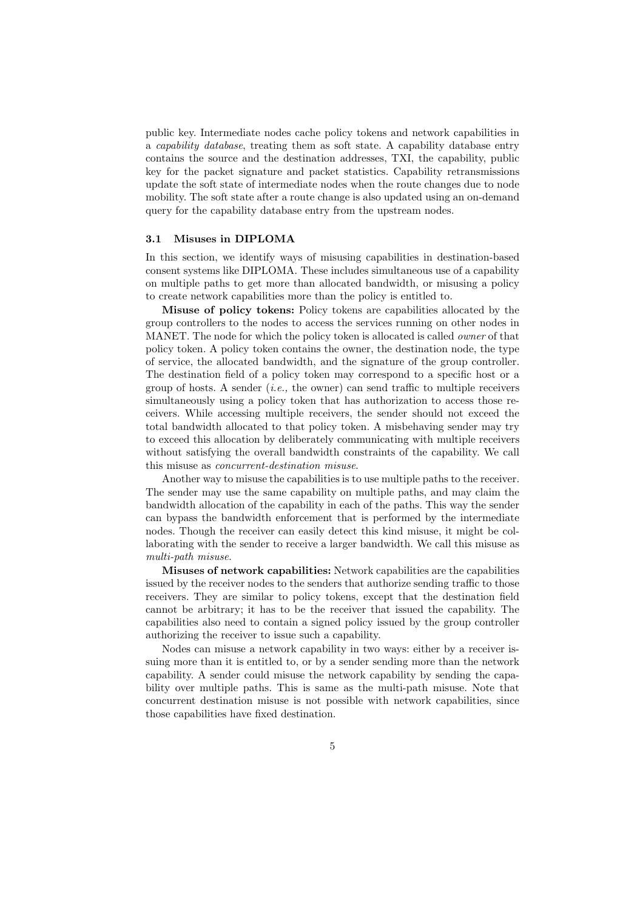public key. Intermediate nodes cache policy tokens and network capabilities in a capability database, treating them as soft state. A capability database entry contains the source and the destination addresses, TXI, the capability, public key for the packet signature and packet statistics. Capability retransmissions update the soft state of intermediate nodes when the route changes due to node mobility. The soft state after a route change is also updated using an on-demand query for the capability database entry from the upstream nodes.

#### 3.1 Misuses in DIPLOMA

In this section, we identify ways of misusing capabilities in destination-based consent systems like DIPLOMA. These includes simultaneous use of a capability on multiple paths to get more than allocated bandwidth, or misusing a policy to create network capabilities more than the policy is entitled to.

Misuse of policy tokens: Policy tokens are capabilities allocated by the group controllers to the nodes to access the services running on other nodes in MANET. The node for which the policy token is allocated is called owner of that policy token. A policy token contains the owner, the destination node, the type of service, the allocated bandwidth, and the signature of the group controller. The destination field of a policy token may correspond to a specific host or a group of hosts. A sender  $(i.e.,$  the owner) can send traffic to multiple receivers simultaneously using a policy token that has authorization to access those receivers. While accessing multiple receivers, the sender should not exceed the total bandwidth allocated to that policy token. A misbehaving sender may try to exceed this allocation by deliberately communicating with multiple receivers without satisfying the overall bandwidth constraints of the capability. We call this misuse as concurrent-destination misuse.

Another way to misuse the capabilities is to use multiple paths to the receiver. The sender may use the same capability on multiple paths, and may claim the bandwidth allocation of the capability in each of the paths. This way the sender can bypass the bandwidth enforcement that is performed by the intermediate nodes. Though the receiver can easily detect this kind misuse, it might be collaborating with the sender to receive a larger bandwidth. We call this misuse as multi-path misuse.

Misuses of network capabilities: Network capabilities are the capabilities issued by the receiver nodes to the senders that authorize sending traffic to those receivers. They are similar to policy tokens, except that the destination field cannot be arbitrary; it has to be the receiver that issued the capability. The capabilities also need to contain a signed policy issued by the group controller authorizing the receiver to issue such a capability.

Nodes can misuse a network capability in two ways: either by a receiver issuing more than it is entitled to, or by a sender sending more than the network capability. A sender could misuse the network capability by sending the capability over multiple paths. This is same as the multi-path misuse. Note that concurrent destination misuse is not possible with network capabilities, since those capabilities have fixed destination.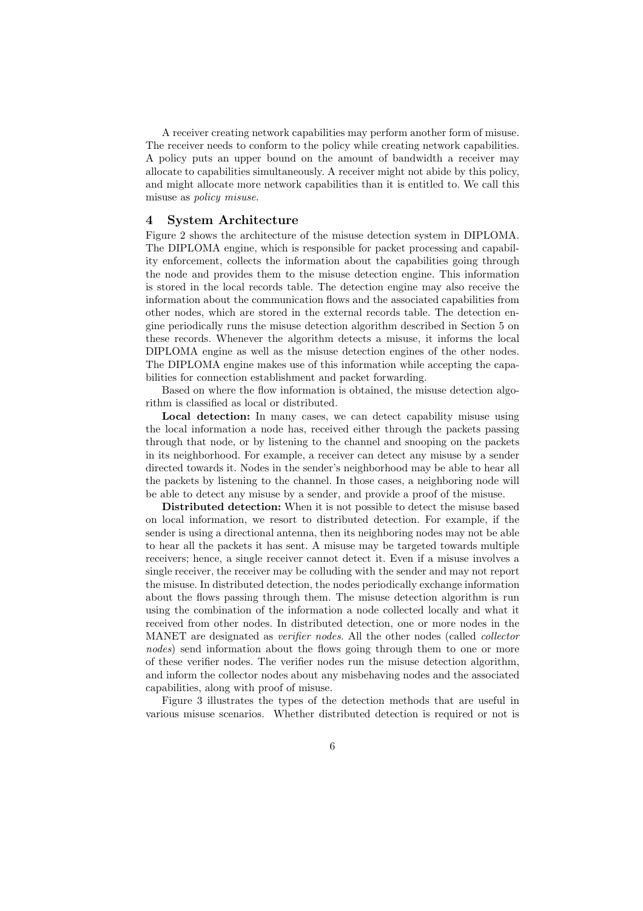A receiver creating network capabilities may perform another form of misuse. The receiver needs to conform to the policy while creating network capabilities. A policy puts an upper bound on the amount of bandwidth a receiver may allocate to capabilities simultaneously. A receiver might not abide by this policy, and might allocate more network capabilities than it is entitled to. We call this misuse as policy misuse.

### 4 System Architecture

Figure 2 shows the architecture of the misuse detection system in DIPLOMA. The DIPLOMA engine, which is responsible for packet processing and capability enforcement, collects the information about the capabilities going through the node and provides them to the misuse detection engine. This information is stored in the local records table. The detection engine may also receive the information about the communication flows and the associated capabilities from other nodes, which are stored in the external records table. The detection engine periodically runs the misuse detection algorithm described in Section 5 on these records. Whenever the algorithm detects a misuse, it informs the local DIPLOMA engine as well as the misuse detection engines of the other nodes. The DIPLOMA engine makes use of this information while accepting the capabilities for connection establishment and packet forwarding.

Based on where the flow information is obtained, the misuse detection algorithm is classified as local or distributed.

Local detection: In many cases, we can detect capability misuse using the local information a node has, received either through the packets passing through that node, or by listening to the channel and snooping on the packets in its neighborhood. For example, a receiver can detect any misuse by a sender directed towards it. Nodes in the sender's neighborhood may be able to hear all the packets by listening to the channel. In those cases, a neighboring node will be able to detect any misuse by a sender, and provide a proof of the misuse.

Distributed detection: When it is not possible to detect the misuse based on local information, we resort to distributed detection. For example, if the sender is using a directional antenna, then its neighboring nodes may not be able to hear all the packets it has sent. A misuse may be targeted towards multiple receivers; hence, a single receiver cannot detect it. Even if a misuse involves a single receiver, the receiver may be colluding with the sender and may not report the misuse. In distributed detection, the nodes periodically exchange information about the flows passing through them. The misuse detection algorithm is run using the combination of the information a node collected locally and what it received from other nodes. In distributed detection, one or more nodes in the MANET are designated as *verifier nodes*. All the other nodes (called *collector* nodes) send information about the flows going through them to one or more of these verifier nodes. The verifier nodes run the misuse detection algorithm, and inform the collector nodes about any misbehaving nodes and the associated capabilities, along with proof of misuse.

Figure 3 illustrates the types of the detection methods that are useful in various misuse scenarios. Whether distributed detection is required or not is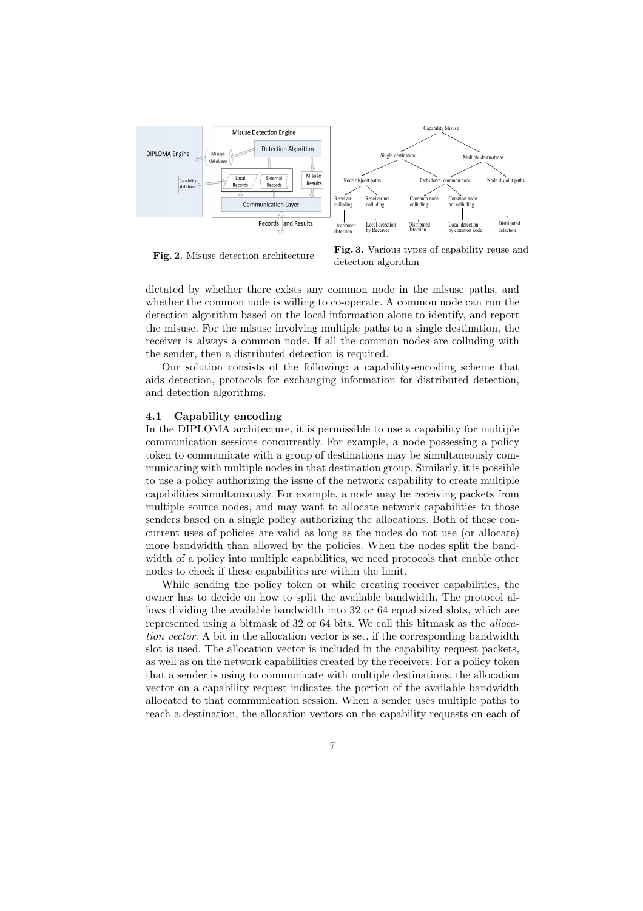

Fig. 2. Misuse detection architecture Fig. 3. Various types of capability reuse and detection algorithm

dictated by whether there exists any common node in the misuse paths, and whether the common node is willing to co-operate. A common node can run the detection algorithm based on the local information alone to identify, and report the misuse. For the misuse involving multiple paths to a single destination, the receiver is always a common node. If all the common nodes are colluding with the sender, then a distributed detection is required.

Our solution consists of the following: a capability-encoding scheme that aids detection, protocols for exchanging information for distributed detection, and detection algorithms.

## 4.1 Capability encoding

In the DIPLOMA architecture, it is permissible to use a capability for multiple communication sessions concurrently. For example, a node possessing a policy token to communicate with a group of destinations may be simultaneously communicating with multiple nodes in that destination group. Similarly, it is possible to use a policy authorizing the issue of the network capability to create multiple capabilities simultaneously. For example, a node may be receiving packets from multiple source nodes, and may want to allocate network capabilities to those senders based on a single policy authorizing the allocations. Both of these concurrent uses of policies are valid as long as the nodes do not use (or allocate) more bandwidth than allowed by the policies. When the nodes split the bandwidth of a policy into multiple capabilities, we need protocols that enable other nodes to check if these capabilities are within the limit.

While sending the policy token or while creating receiver capabilities, the owner has to decide on how to split the available bandwidth. The protocol allows dividing the available bandwidth into 32 or 64 equal sized slots, which are represented using a bitmask of 32 or 64 bits. We call this bitmask as the allocation vector. A bit in the allocation vector is set, if the corresponding bandwidth slot is used. The allocation vector is included in the capability request packets, as well as on the network capabilities created by the receivers. For a policy token that a sender is using to communicate with multiple destinations, the allocation vector on a capability request indicates the portion of the available bandwidth allocated to that communication session. When a sender uses multiple paths to reach a destination, the allocation vectors on the capability requests on each of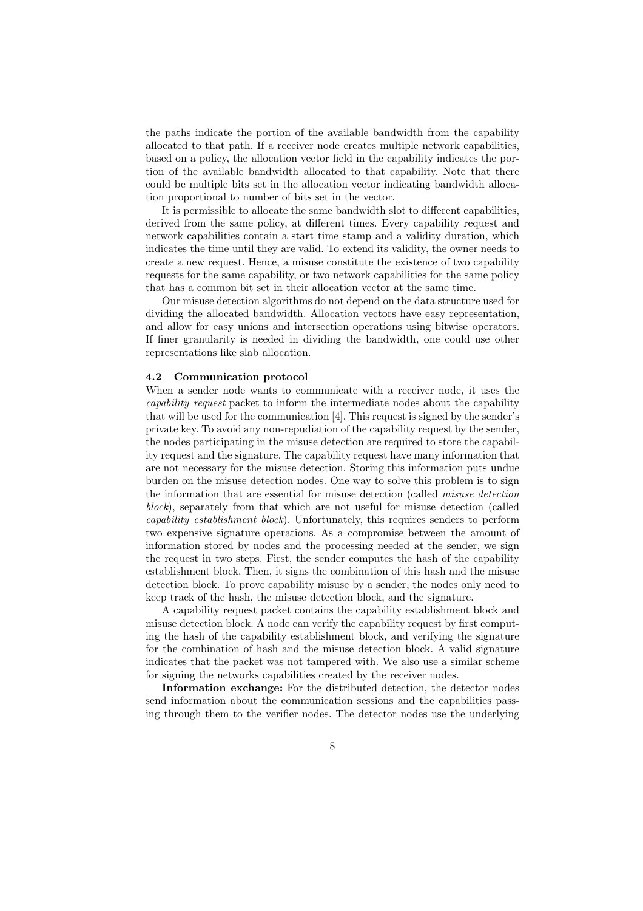the paths indicate the portion of the available bandwidth from the capability allocated to that path. If a receiver node creates multiple network capabilities, based on a policy, the allocation vector field in the capability indicates the portion of the available bandwidth allocated to that capability. Note that there could be multiple bits set in the allocation vector indicating bandwidth allocation proportional to number of bits set in the vector.

It is permissible to allocate the same bandwidth slot to different capabilities, derived from the same policy, at different times. Every capability request and network capabilities contain a start time stamp and a validity duration, which indicates the time until they are valid. To extend its validity, the owner needs to create a new request. Hence, a misuse constitute the existence of two capability requests for the same capability, or two network capabilities for the same policy that has a common bit set in their allocation vector at the same time.

Our misuse detection algorithms do not depend on the data structure used for dividing the allocated bandwidth. Allocation vectors have easy representation, and allow for easy unions and intersection operations using bitwise operators. If finer granularity is needed in dividing the bandwidth, one could use other representations like slab allocation.

#### 4.2 Communication protocol

When a sender node wants to communicate with a receiver node, it uses the capability request packet to inform the intermediate nodes about the capability that will be used for the communication [4]. This request is signed by the sender's private key. To avoid any non-repudiation of the capability request by the sender, the nodes participating in the misuse detection are required to store the capability request and the signature. The capability request have many information that are not necessary for the misuse detection. Storing this information puts undue burden on the misuse detection nodes. One way to solve this problem is to sign the information that are essential for misuse detection (called misuse detection block), separately from that which are not useful for misuse detection (called capability establishment block). Unfortunately, this requires senders to perform two expensive signature operations. As a compromise between the amount of information stored by nodes and the processing needed at the sender, we sign the request in two steps. First, the sender computes the hash of the capability establishment block. Then, it signs the combination of this hash and the misuse detection block. To prove capability misuse by a sender, the nodes only need to keep track of the hash, the misuse detection block, and the signature.

A capability request packet contains the capability establishment block and misuse detection block. A node can verify the capability request by first computing the hash of the capability establishment block, and verifying the signature for the combination of hash and the misuse detection block. A valid signature indicates that the packet was not tampered with. We also use a similar scheme for signing the networks capabilities created by the receiver nodes.

Information exchange: For the distributed detection, the detector nodes send information about the communication sessions and the capabilities passing through them to the verifier nodes. The detector nodes use the underlying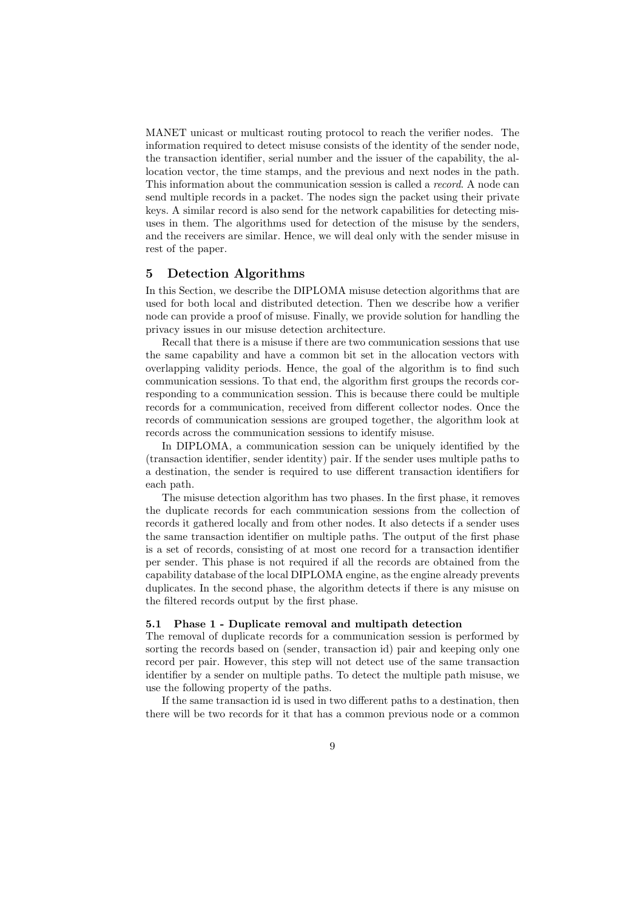MANET unicast or multicast routing protocol to reach the verifier nodes. The information required to detect misuse consists of the identity of the sender node, the transaction identifier, serial number and the issuer of the capability, the allocation vector, the time stamps, and the previous and next nodes in the path. This information about the communication session is called a *record*. A node can send multiple records in a packet. The nodes sign the packet using their private keys. A similar record is also send for the network capabilities for detecting misuses in them. The algorithms used for detection of the misuse by the senders, and the receivers are similar. Hence, we will deal only with the sender misuse in rest of the paper.

## 5 Detection Algorithms

In this Section, we describe the DIPLOMA misuse detection algorithms that are used for both local and distributed detection. Then we describe how a verifier node can provide a proof of misuse. Finally, we provide solution for handling the privacy issues in our misuse detection architecture.

Recall that there is a misuse if there are two communication sessions that use the same capability and have a common bit set in the allocation vectors with overlapping validity periods. Hence, the goal of the algorithm is to find such communication sessions. To that end, the algorithm first groups the records corresponding to a communication session. This is because there could be multiple records for a communication, received from different collector nodes. Once the records of communication sessions are grouped together, the algorithm look at records across the communication sessions to identify misuse.

In DIPLOMA, a communication session can be uniquely identified by the (transaction identifier, sender identity) pair. If the sender uses multiple paths to a destination, the sender is required to use different transaction identifiers for each path.

The misuse detection algorithm has two phases. In the first phase, it removes the duplicate records for each communication sessions from the collection of records it gathered locally and from other nodes. It also detects if a sender uses the same transaction identifier on multiple paths. The output of the first phase is a set of records, consisting of at most one record for a transaction identifier per sender. This phase is not required if all the records are obtained from the capability database of the local DIPLOMA engine, as the engine already prevents duplicates. In the second phase, the algorithm detects if there is any misuse on the filtered records output by the first phase.

## 5.1 Phase 1 - Duplicate removal and multipath detection

The removal of duplicate records for a communication session is performed by sorting the records based on (sender, transaction id) pair and keeping only one record per pair. However, this step will not detect use of the same transaction identifier by a sender on multiple paths. To detect the multiple path misuse, we use the following property of the paths.

If the same transaction id is used in two different paths to a destination, then there will be two records for it that has a common previous node or a common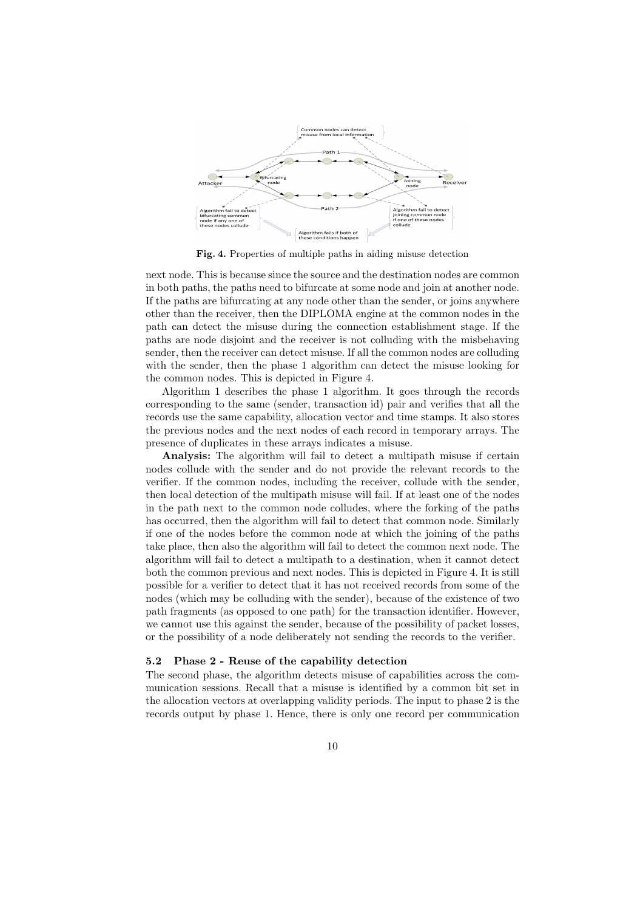

Fig. 4. Properties of multiple paths in aiding misuse detection

next node. This is because since the source and the destination nodes are common in both paths, the paths need to bifurcate at some node and join at another node. If the paths are bifurcating at any node other than the sender, or joins anywhere other than the receiver, then the DIPLOMA engine at the common nodes in the path can detect the misuse during the connection establishment stage. If the paths are node disjoint and the receiver is not colluding with the misbehaving sender, then the receiver can detect misuse. If all the common nodes are colluding with the sender, then the phase 1 algorithm can detect the misuse looking for the common nodes. This is depicted in Figure 4.

Algorithm 1 describes the phase 1 algorithm. It goes through the records corresponding to the same (sender, transaction id) pair and verifies that all the records use the same capability, allocation vector and time stamps. It also stores the previous nodes and the next nodes of each record in temporary arrays. The presence of duplicates in these arrays indicates a misuse.

Analysis: The algorithm will fail to detect a multipath misuse if certain nodes collude with the sender and do not provide the relevant records to the verifier. If the common nodes, including the receiver, collude with the sender, then local detection of the multipath misuse will fail. If at least one of the nodes in the path next to the common node colludes, where the forking of the paths has occurred, then the algorithm will fail to detect that common node. Similarly if one of the nodes before the common node at which the joining of the paths take place, then also the algorithm will fail to detect the common next node. The algorithm will fail to detect a multipath to a destination, when it cannot detect both the common previous and next nodes. This is depicted in Figure 4. It is still possible for a verifier to detect that it has not received records from some of the nodes (which may be colluding with the sender), because of the existence of two path fragments (as opposed to one path) for the transaction identifier. However, we cannot use this against the sender, because of the possibility of packet losses, or the possibility of a node deliberately not sending the records to the verifier.

## 5.2 Phase 2 - Reuse of the capability detection

The second phase, the algorithm detects misuse of capabilities across the communication sessions. Recall that a misuse is identified by a common bit set in the allocation vectors at overlapping validity periods. The input to phase 2 is the records output by phase 1. Hence, there is only one record per communication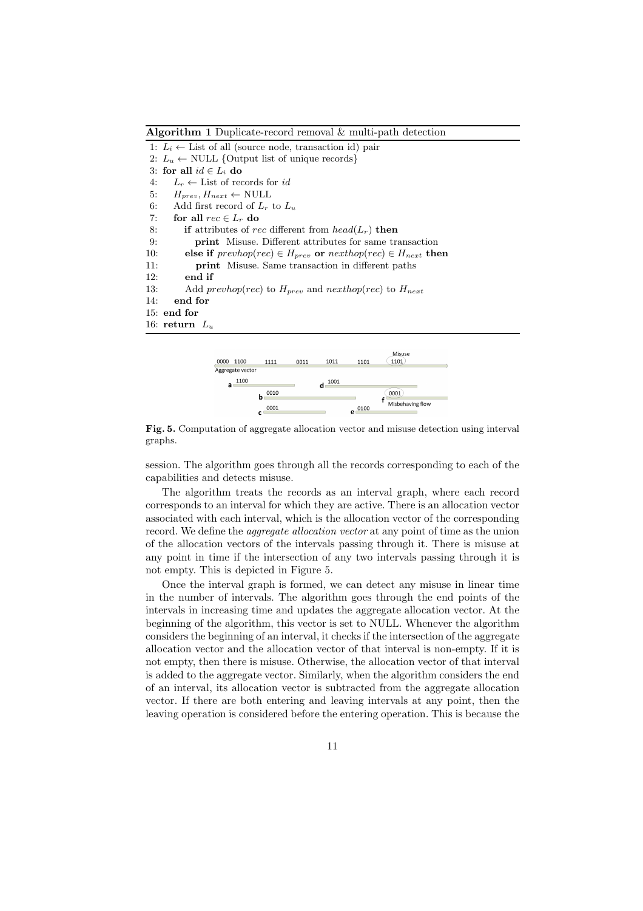Algorithm 1 Duplicate-record removal & multi-path detection

1:  $L_i \leftarrow$  List of all (source node, transaction id) pair 2:  $L_u \leftarrow \text{NULL}$  {Output list of unique records} 3: for all  $id \in L_i$  do 4:  $L_r \leftarrow$  List of records for id 5:  $H_{prev}, H_{next} \leftarrow \text{NULL}$ 6: Add first record of  $L_r$  to  $L_u$ 7: for all  $rec \in L_r$  do 8: if attributes of rec different from  $head(L_r)$  then 9: print Misuse. Different attributes for same transaction 10: else if  $prevhop(rec) \in H_{prev}$  or  $nexthop(rec) \in H_{next}$  then 11: print Misuse. Same transaction in different paths 12: end if 13: Add prevhop(rec) to  $H_{prev}$  and  $nexthop(rec)$  to  $H_{next}$ 14: end for 15: end for 16: return  $L_u$ 



Fig. 5. Computation of aggregate allocation vector and misuse detection using interval graphs.

session. The algorithm goes through all the records corresponding to each of the capabilities and detects misuse.

The algorithm treats the records as an interval graph, where each record corresponds to an interval for which they are active. There is an allocation vector associated with each interval, which is the allocation vector of the corresponding record. We define the *aggregate allocation vector* at any point of time as the union of the allocation vectors of the intervals passing through it. There is misuse at any point in time if the intersection of any two intervals passing through it is not empty. This is depicted in Figure 5.

Once the interval graph is formed, we can detect any misuse in linear time in the number of intervals. The algorithm goes through the end points of the intervals in increasing time and updates the aggregate allocation vector. At the beginning of the algorithm, this vector is set to NULL. Whenever the algorithm considers the beginning of an interval, it checks if the intersection of the aggregate allocation vector and the allocation vector of that interval is non-empty. If it is not empty, then there is misuse. Otherwise, the allocation vector of that interval is added to the aggregate vector. Similarly, when the algorithm considers the end of an interval, its allocation vector is subtracted from the aggregate allocation vector. If there are both entering and leaving intervals at any point, then the leaving operation is considered before the entering operation. This is because the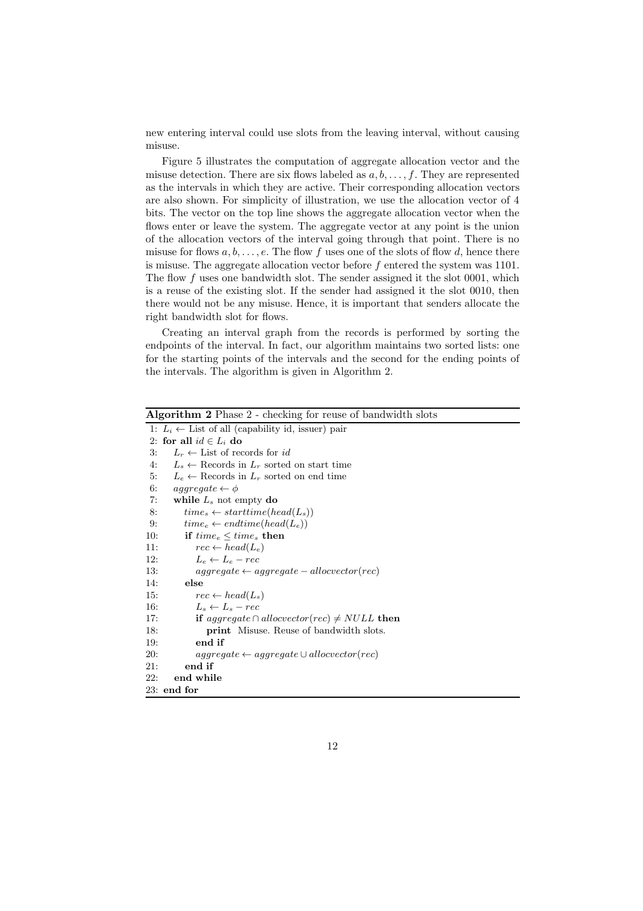new entering interval could use slots from the leaving interval, without causing misuse.

Figure 5 illustrates the computation of aggregate allocation vector and the misuse detection. There are six flows labeled as  $a, b, \ldots, f$ . They are represented as the intervals in which they are active. Their corresponding allocation vectors are also shown. For simplicity of illustration, we use the allocation vector of 4 bits. The vector on the top line shows the aggregate allocation vector when the flows enter or leave the system. The aggregate vector at any point is the union of the allocation vectors of the interval going through that point. There is no misuse for flows  $a, b, \ldots, e$ . The flow f uses one of the slots of flow d, hence there is misuse. The aggregate allocation vector before  $f$  entered the system was 1101. The flow  $f$  uses one bandwidth slot. The sender assigned it the slot 0001, which is a reuse of the existing slot. If the sender had assigned it the slot 0010, then there would not be any misuse. Hence, it is important that senders allocate the right bandwidth slot for flows.

Creating an interval graph from the records is performed by sorting the endpoints of the interval. In fact, our algorithm maintains two sorted lists: one for the starting points of the intervals and the second for the ending points of the intervals. The algorithm is given in Algorithm 2.

| <b>Algorithm 2</b> Phase 2 - checking for reuse of bandwidth slots |
|--------------------------------------------------------------------|
| 1: $L_i \leftarrow$ List of all (capability id, issuer) pair       |
| 2: for all $id \in L_i$ do                                         |
| 3:<br>$L_r \leftarrow$ List of records for id                      |
| 4:<br>$L_s \leftarrow$ Records in $L_r$ sorted on start time       |
| 5:<br>$L_e \leftarrow$ Records in $L_r$ sorted on end time         |
| 6:<br>$aq\bar{q} \neq b \leftrightarrow \phi$                      |
| 7:<br>while $L_s$ not empty do                                     |
| 8:<br>$time_s \leftarrow starttime(head(L_s))$                     |
| $time_e \leftarrow endtime(head(L_e))$<br>9:                       |
| 10:<br>if $time_e \leq time_s$ then                                |
| $rec \leftarrow head(L_e)$<br>11:                                  |
| $L_e \leftarrow L_e - rec$<br>12:                                  |
| $aggregate \leftarrow aggregate - allocate(rec)$<br>13:            |
| else<br>14:                                                        |
| 15:<br>$rec \leftarrow head(L_s)$                                  |
| $L_s \leftarrow L_s - rec$<br>16:                                  |
| if aggregate $\cap$ allocvector(rec) $\neq$ NULL then<br>17:       |
| <b>print</b> Misuse. Reuse of bandwidth slots.<br>18:              |
| end if<br>19:                                                      |
| 20:<br>$aggregate \leftarrow aggregate \cup allocate(rec)$         |
| end if<br>21:                                                      |
| 22:<br>end while                                                   |
| $23:$ end for                                                      |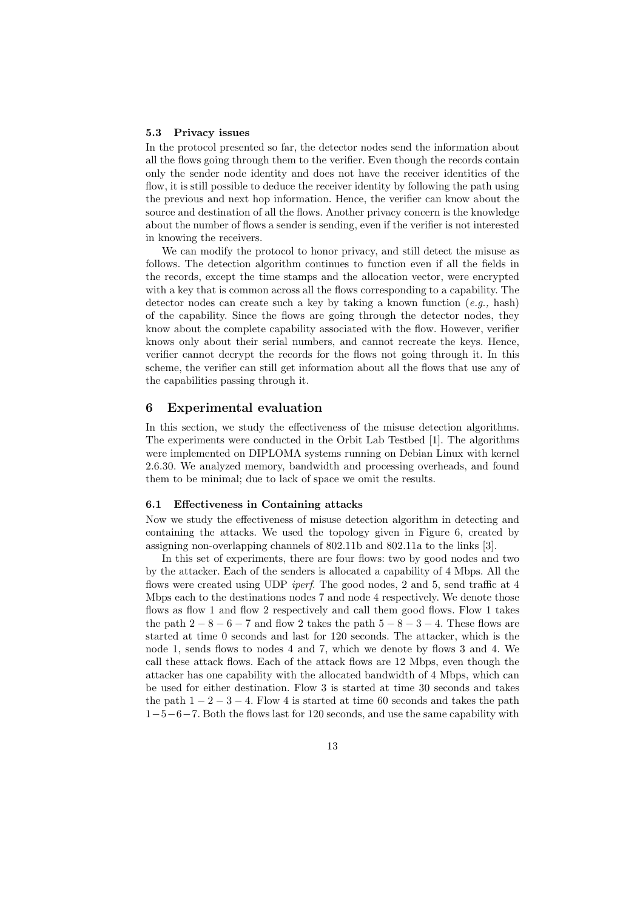#### 5.3 Privacy issues

In the protocol presented so far, the detector nodes send the information about all the flows going through them to the verifier. Even though the records contain only the sender node identity and does not have the receiver identities of the flow, it is still possible to deduce the receiver identity by following the path using the previous and next hop information. Hence, the verifier can know about the source and destination of all the flows. Another privacy concern is the knowledge about the number of flows a sender is sending, even if the verifier is not interested in knowing the receivers.

We can modify the protocol to honor privacy, and still detect the misuse as follows. The detection algorithm continues to function even if all the fields in the records, except the time stamps and the allocation vector, were encrypted with a key that is common across all the flows corresponding to a capability. The detector nodes can create such a key by taking a known function  $(e.g.,\text{hash})$ of the capability. Since the flows are going through the detector nodes, they know about the complete capability associated with the flow. However, verifier knows only about their serial numbers, and cannot recreate the keys. Hence, verifier cannot decrypt the records for the flows not going through it. In this scheme, the verifier can still get information about all the flows that use any of the capabilities passing through it.

## 6 Experimental evaluation

In this section, we study the effectiveness of the misuse detection algorithms. The experiments were conducted in the Orbit Lab Testbed [1]. The algorithms were implemented on DIPLOMA systems running on Debian Linux with kernel 2.6.30. We analyzed memory, bandwidth and processing overheads, and found them to be minimal; due to lack of space we omit the results.

### 6.1 Effectiveness in Containing attacks

Now we study the effectiveness of misuse detection algorithm in detecting and containing the attacks. We used the topology given in Figure 6, created by assigning non-overlapping channels of 802.11b and 802.11a to the links [3].

In this set of experiments, there are four flows: two by good nodes and two by the attacker. Each of the senders is allocated a capability of 4 Mbps. All the flows were created using UDP *iperf*. The good nodes, 2 and 5, send traffic at 4 Mbps each to the destinations nodes 7 and node 4 respectively. We denote those flows as flow 1 and flow 2 respectively and call them good flows. Flow 1 takes the path  $2 - 8 - 6 - 7$  and flow 2 takes the path  $5 - 8 - 3 - 4$ . These flows are started at time 0 seconds and last for 120 seconds. The attacker, which is the node 1, sends flows to nodes 4 and 7, which we denote by flows 3 and 4. We call these attack flows. Each of the attack flows are 12 Mbps, even though the attacker has one capability with the allocated bandwidth of 4 Mbps, which can be used for either destination. Flow 3 is started at time 30 seconds and takes the path  $1 - 2 - 3 - 4$ . Flow 4 is started at time 60 seconds and takes the path 1−5−6−7. Both the flows last for 120 seconds, and use the same capability with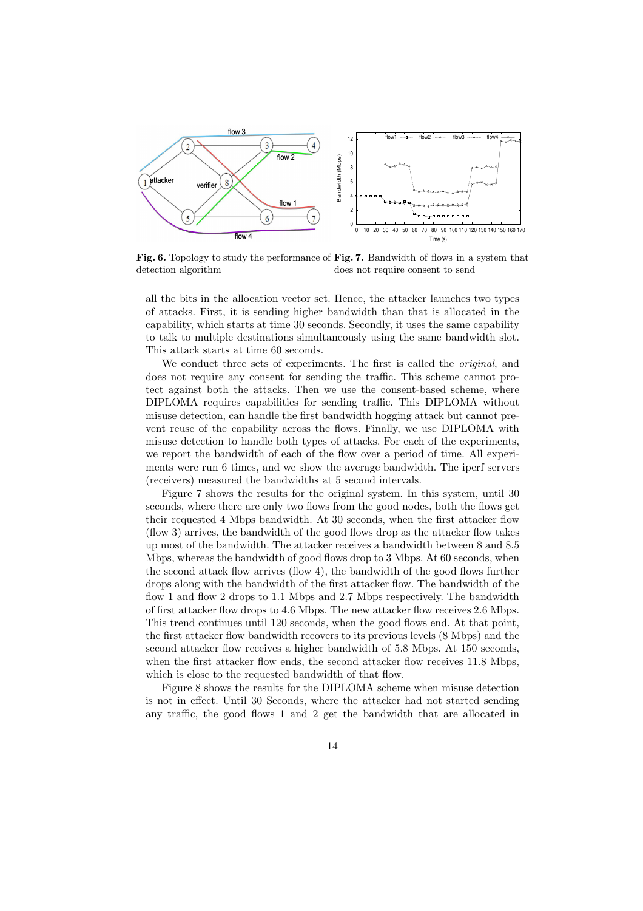

Fig. 6. Topology to study the performance of Fig. 7. Bandwidth of flows in a system that detection algorithm does not require consent to send

all the bits in the allocation vector set. Hence, the attacker launches two types of attacks. First, it is sending higher bandwidth than that is allocated in the capability, which starts at time 30 seconds. Secondly, it uses the same capability to talk to multiple destinations simultaneously using the same bandwidth slot. This attack starts at time 60 seconds.

We conduct three sets of experiments. The first is called the *original*, and does not require any consent for sending the traffic. This scheme cannot protect against both the attacks. Then we use the consent-based scheme, where DIPLOMA requires capabilities for sending traffic. This DIPLOMA without misuse detection, can handle the first bandwidth hogging attack but cannot prevent reuse of the capability across the flows. Finally, we use DIPLOMA with misuse detection to handle both types of attacks. For each of the experiments, we report the bandwidth of each of the flow over a period of time. All experiments were run 6 times, and we show the average bandwidth. The iperf servers (receivers) measured the bandwidths at 5 second intervals.

Figure 7 shows the results for the original system. In this system, until 30 seconds, where there are only two flows from the good nodes, both the flows get their requested 4 Mbps bandwidth. At 30 seconds, when the first attacker flow (flow 3) arrives, the bandwidth of the good flows drop as the attacker flow takes up most of the bandwidth. The attacker receives a bandwidth between 8 and 8.5 Mbps, whereas the bandwidth of good flows drop to 3 Mbps. At 60 seconds, when the second attack flow arrives (flow 4), the bandwidth of the good flows further drops along with the bandwidth of the first attacker flow. The bandwidth of the flow 1 and flow 2 drops to 1.1 Mbps and 2.7 Mbps respectively. The bandwidth of first attacker flow drops to 4.6 Mbps. The new attacker flow receives 2.6 Mbps. This trend continues until 120 seconds, when the good flows end. At that point, the first attacker flow bandwidth recovers to its previous levels (8 Mbps) and the second attacker flow receives a higher bandwidth of 5.8 Mbps. At 150 seconds, when the first attacker flow ends, the second attacker flow receives 11.8 Mbps, which is close to the requested bandwidth of that flow.

Figure 8 shows the results for the DIPLOMA scheme when misuse detection is not in effect. Until 30 Seconds, where the attacker had not started sending any traffic, the good flows 1 and 2 get the bandwidth that are allocated in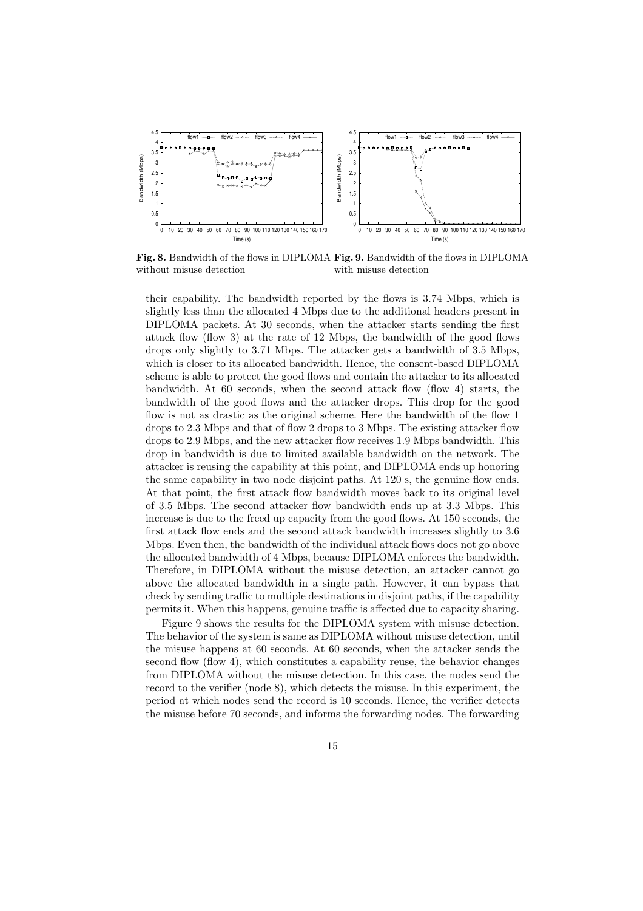

Fig. 8. Bandwidth of the flows in DIPLOMA Fig. 9. Bandwidth of the flows in DIPLOMA without misuse detection with misuse detection

their capability. The bandwidth reported by the flows is 3.74 Mbps, which is slightly less than the allocated 4 Mbps due to the additional headers present in DIPLOMA packets. At 30 seconds, when the attacker starts sending the first attack flow (flow 3) at the rate of 12 Mbps, the bandwidth of the good flows drops only slightly to 3.71 Mbps. The attacker gets a bandwidth of 3.5 Mbps, which is closer to its allocated bandwidth. Hence, the consent-based DIPLOMA scheme is able to protect the good flows and contain the attacker to its allocated bandwidth. At 60 seconds, when the second attack flow (flow 4) starts, the bandwidth of the good flows and the attacker drops. This drop for the good flow is not as drastic as the original scheme. Here the bandwidth of the flow 1 drops to 2.3 Mbps and that of flow 2 drops to 3 Mbps. The existing attacker flow drops to 2.9 Mbps, and the new attacker flow receives 1.9 Mbps bandwidth. This drop in bandwidth is due to limited available bandwidth on the network. The attacker is reusing the capability at this point, and DIPLOMA ends up honoring the same capability in two node disjoint paths. At 120 s, the genuine flow ends. At that point, the first attack flow bandwidth moves back to its original level of 3.5 Mbps. The second attacker flow bandwidth ends up at 3.3 Mbps. This increase is due to the freed up capacity from the good flows. At 150 seconds, the first attack flow ends and the second attack bandwidth increases slightly to 3.6 Mbps. Even then, the bandwidth of the individual attack flows does not go above the allocated bandwidth of 4 Mbps, because DIPLOMA enforces the bandwidth. Therefore, in DIPLOMA without the misuse detection, an attacker cannot go above the allocated bandwidth in a single path. However, it can bypass that check by sending traffic to multiple destinations in disjoint paths, if the capability permits it. When this happens, genuine traffic is affected due to capacity sharing.

Figure 9 shows the results for the DIPLOMA system with misuse detection. The behavior of the system is same as DIPLOMA without misuse detection, until the misuse happens at 60 seconds. At 60 seconds, when the attacker sends the second flow (flow 4), which constitutes a capability reuse, the behavior changes from DIPLOMA without the misuse detection. In this case, the nodes send the record to the verifier (node 8), which detects the misuse. In this experiment, the period at which nodes send the record is 10 seconds. Hence, the verifier detects the misuse before 70 seconds, and informs the forwarding nodes. The forwarding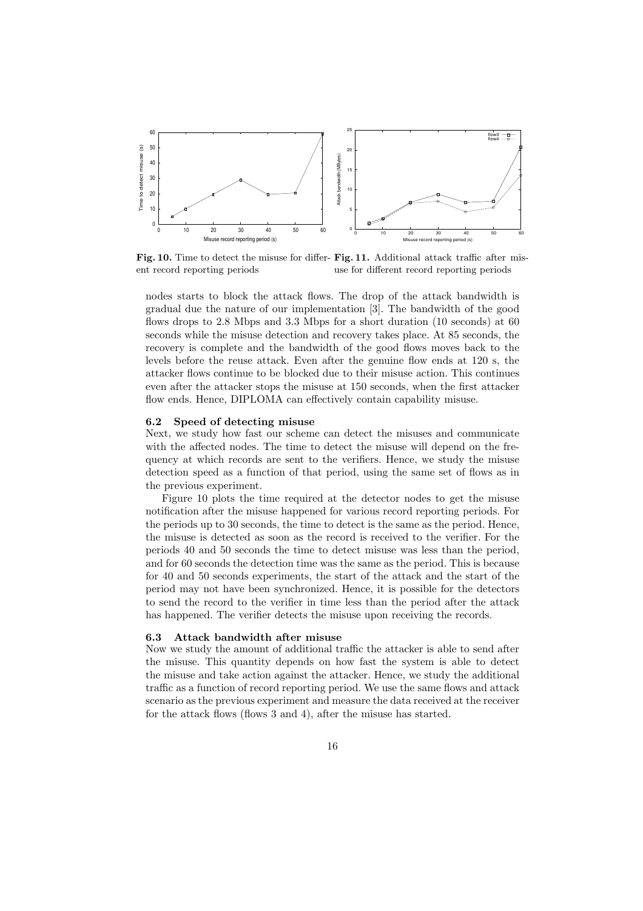

Fig. 10. Time to detect the misuse for differ-Fig. 11. Additional attack traffic after misent record reporting periods use for different record reporting periods

nodes starts to block the attack flows. The drop of the attack bandwidth is gradual due the nature of our implementation [3]. The bandwidth of the good flows drops to 2.8 Mbps and 3.3 Mbps for a short duration (10 seconds) at 60 seconds while the misuse detection and recovery takes place. At 85 seconds, the recovery is complete and the bandwidth of the good flows moves back to the levels before the reuse attack. Even after the genuine flow ends at 120 s, the attacker flows continue to be blocked due to their misuse action. This continues even after the attacker stops the misuse at 150 seconds, when the first attacker flow ends. Hence, DIPLOMA can effectively contain capability misuse.

### 6.2 Speed of detecting misuse

Next, we study how fast our scheme can detect the misuses and communicate with the affected nodes. The time to detect the misuse will depend on the frequency at which records are sent to the verifiers. Hence, we study the misuse detection speed as a function of that period, using the same set of flows as in the previous experiment.

Figure 10 plots the time required at the detector nodes to get the misuse notification after the misuse happened for various record reporting periods. For the periods up to 30 seconds, the time to detect is the same as the period. Hence, the misuse is detected as soon as the record is received to the verifier. For the periods 40 and 50 seconds the time to detect misuse was less than the period, and for 60 seconds the detection time was the same as the period. This is because for 40 and 50 seconds experiments, the start of the attack and the start of the period may not have been synchronized. Hence, it is possible for the detectors to send the record to the verifier in time less than the period after the attack has happened. The verifier detects the misuse upon receiving the records.

#### 6.3 Attack bandwidth after misuse

Now we study the amount of additional traffic the attacker is able to send after the misuse. This quantity depends on how fast the system is able to detect the misuse and take action against the attacker. Hence, we study the additional traffic as a function of record reporting period. We use the same flows and attack scenario as the previous experiment and measure the data received at the receiver for the attack flows (flows 3 and 4), after the misuse has started.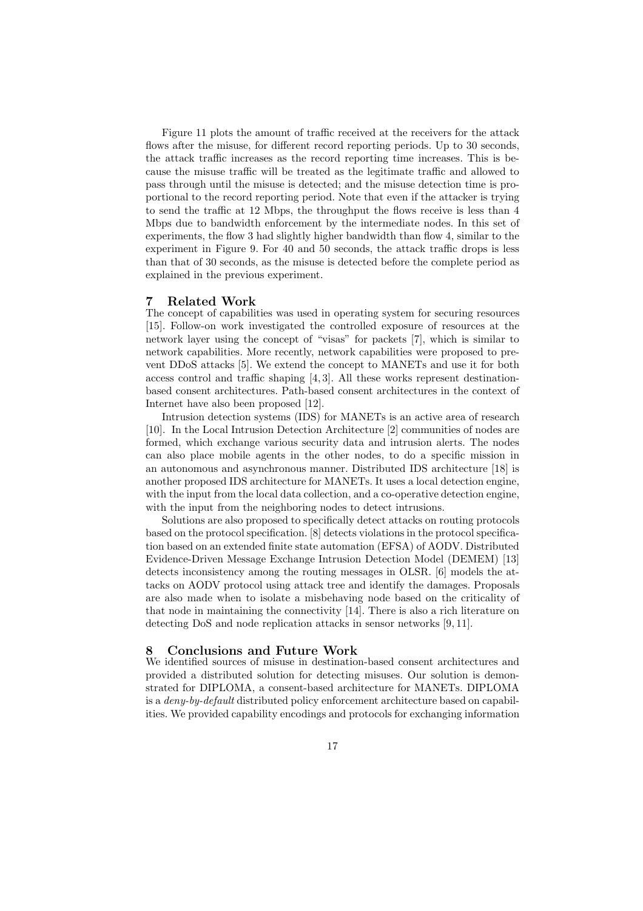Figure 11 plots the amount of traffic received at the receivers for the attack flows after the misuse, for different record reporting periods. Up to 30 seconds, the attack traffic increases as the record reporting time increases. This is because the misuse traffic will be treated as the legitimate traffic and allowed to pass through until the misuse is detected; and the misuse detection time is proportional to the record reporting period. Note that even if the attacker is trying to send the traffic at 12 Mbps, the throughput the flows receive is less than 4 Mbps due to bandwidth enforcement by the intermediate nodes. In this set of experiments, the flow 3 had slightly higher bandwidth than flow 4, similar to the experiment in Figure 9. For 40 and 50 seconds, the attack traffic drops is less than that of 30 seconds, as the misuse is detected before the complete period as explained in the previous experiment.

# 7 Related Work

The concept of capabilities was used in operating system for securing resources [15]. Follow-on work investigated the controlled exposure of resources at the network layer using the concept of "visas" for packets [7], which is similar to network capabilities. More recently, network capabilities were proposed to prevent DDoS attacks [5]. We extend the concept to MANETs and use it for both access control and traffic shaping [4, 3]. All these works represent destinationbased consent architectures. Path-based consent architectures in the context of Internet have also been proposed [12].

Intrusion detection systems (IDS) for MANETs is an active area of research [10]. In the Local Intrusion Detection Architecture [2] communities of nodes are formed, which exchange various security data and intrusion alerts. The nodes can also place mobile agents in the other nodes, to do a specific mission in an autonomous and asynchronous manner. Distributed IDS architecture [18] is another proposed IDS architecture for MANETs. It uses a local detection engine, with the input from the local data collection, and a co-operative detection engine, with the input from the neighboring nodes to detect intrusions.

Solutions are also proposed to specifically detect attacks on routing protocols based on the protocol specification. [8] detects violations in the protocol specification based on an extended finite state automation (EFSA) of AODV. Distributed Evidence-Driven Message Exchange Intrusion Detection Model (DEMEM) [13] detects inconsistency among the routing messages in OLSR. [6] models the attacks on AODV protocol using attack tree and identify the damages. Proposals are also made when to isolate a misbehaving node based on the criticality of that node in maintaining the connectivity [14]. There is also a rich literature on detecting DoS and node replication attacks in sensor networks [9, 11].

## 8 Conclusions and Future Work

We identified sources of misuse in destination-based consent architectures and provided a distributed solution for detecting misuses. Our solution is demonstrated for DIPLOMA, a consent-based architecture for MANETs. DIPLOMA is a deny-by-default distributed policy enforcement architecture based on capabilities. We provided capability encodings and protocols for exchanging information